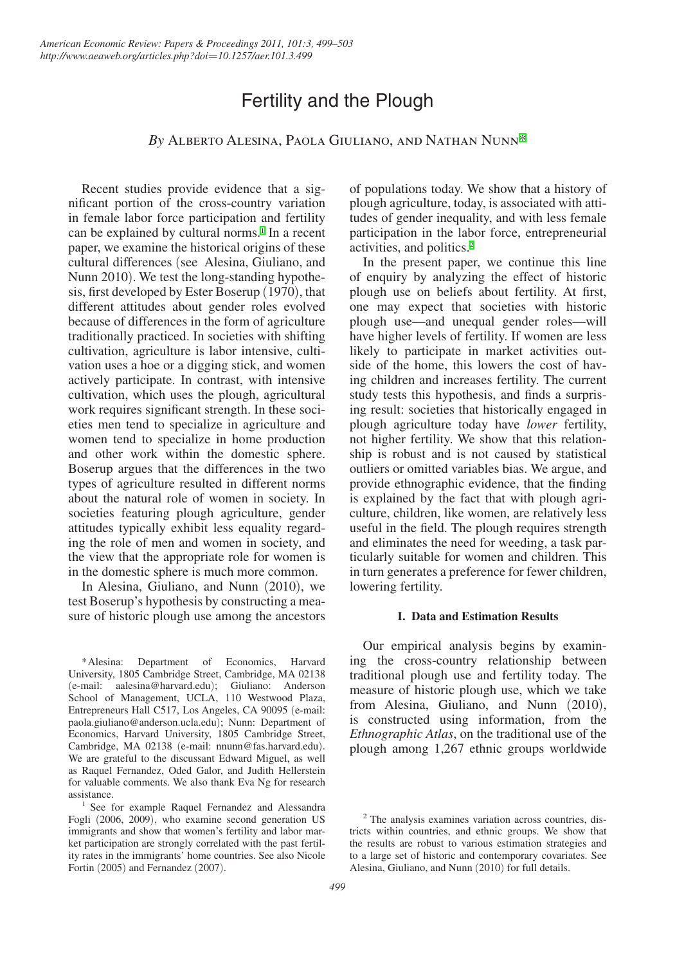# Fertility and the Plough

# *By* Alberto Alesina, Paola Giuliano, and Nathan Nunn\*

Recent studies provide evidence that a significant portion of the cross-country variation in female labor force participation and fertility can be explained by cultural norms.<sup>1</sup> In a recent paper, we examine the historical origins of these cultural differences (see Alesina, Giuliano, and Nunn 2010). We test the long-standing hypothesis, first developed by Ester Boserup (1970), that different attitudes about gender roles evolved because of differences in the form of agriculture traditionally practiced. In societies with shifting cultivation, agriculture is labor intensive, cultivation uses a hoe or a digging stick, and women actively participate. In contrast, with intensive cultivation, which uses the plough, agricultural work requires significant strength. In these societies men tend to specialize in agriculture and women tend to specialize in home production and other work within the domestic sphere. Boserup argues that the differences in the two types of agriculture resulted in different norms about the natural role of women in society. In societies featuring plough agriculture, gender attitudes typically exhibit less equality regarding the role of men and women in society, and the view that the appropriate role for women is in the domestic sphere is much more common.

In Alesina, Giuliano, and Nunn (2010), we test Boserup's hypothesis by constructing a measure of historic plough use among the ancestors

\*Alesina: Department of Economics, Harvard University, 1805 Cambridge Street, Cambridge, MA 02138 (e-mail: aalesina@harvard.edu); Giuliano: Anderson School of Management, UCLA, 110 Westwood Plaza, Entrepreneurs Hall C517, Los Angeles, CA 90095 (e-mail: paola.giuliano@anderson.ucla.edu); Nunn: Department of Economics, Harvard University, 1805 Cambridge Street, Cambridge, MA 02138 (e-mail: nnunn@fas.harvard.edu). We are grateful to the discussant Edward Miguel, as well as Raquel Fernandez, Oded Galor, and Judith Hellerstein for valuable comments. We also thank Eva Ng for research assistance.

<sup>1</sup> See for example Raquel Fernandez and Alessandra Fogli (2006, 2009), who examine second generation US immigrants and show that women's fertility and labor market participation are strongly correlated with the past fertility rates in the immigrants' home countries. See also Nicole Fortin (2005) and Fernandez (2007).

of populations today. We show that a history of plough agriculture, today, is associated with attitudes of gender inequality, and with less female participation in the labor force, entrepreneurial activities, and politics.2

In the present paper, we continue this line of enquiry by analyzing the effect of historic plough use on beliefs about fertility. At first, one may expect that societies with historic plough use—and unequal gender roles—will have higher levels of fertility. If women are less likely to participate in market activities outside of the home, this lowers the cost of having children and increases fertility. The current study tests this hypothesis, and finds a surprising result: societies that historically engaged in plough agriculture today have *lower* fertility, not higher fertility. We show that this relationship is robust and is not caused by statistical outliers or omitted variables bias. We argue, and provide ethnographic evidence, that the finding is explained by the fact that with plough agriculture, children, like women, are relatively less useful in the field. The plough requires strength and eliminates the need for weeding, a task particularly suitable for women and children. This in turn generates a preference for fewer children, lowering fertility.

### **I. Data and Estimation Results**

Our empirical analysis begins by examining the cross-country relationship between traditional plough use and fertility today. The measure of historic plough use, which we take from Alesina, Giuliano, and Nunn (2010), is constructed using information, from the *Ethnographic Atlas*, on the traditional use of the plough among 1,267 ethnic groups worldwide

<sup>2</sup> The analysis examines variation across countries, districts within countries, and ethnic groups. We show that the results are robust to various estimation strategies and to a large set of historic and contemporary covariates. See Alesina, Giuliano, and Nunn (2010) for full details.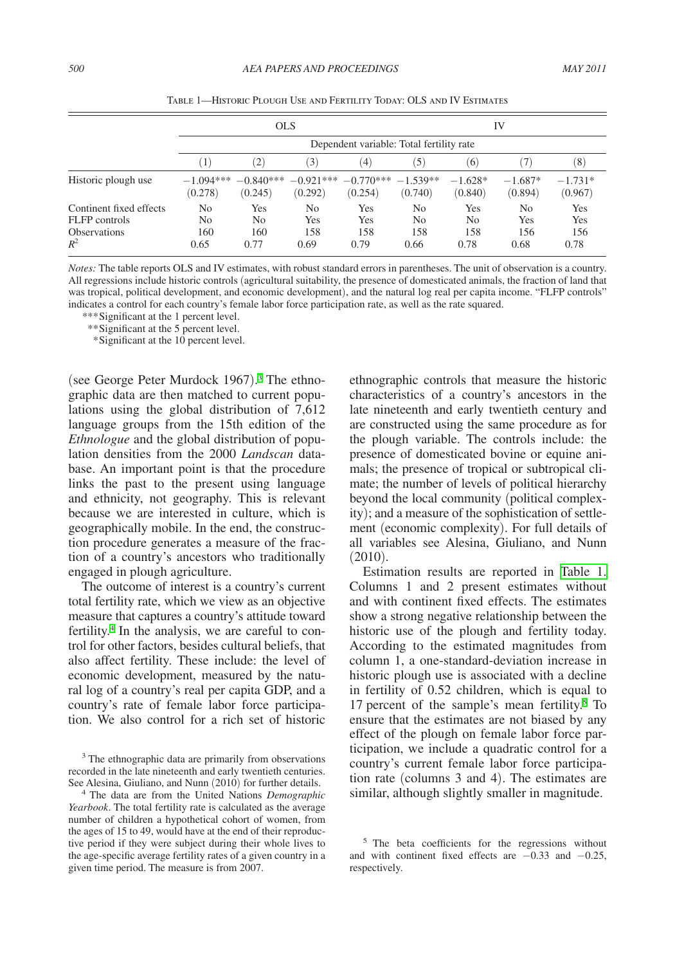<span id="page-1-0"></span>

|                                                                          | <b>OLS</b>                          |                                          |                                      | IV                                            |                         |                                      |                                      |                           |  |
|--------------------------------------------------------------------------|-------------------------------------|------------------------------------------|--------------------------------------|-----------------------------------------------|-------------------------|--------------------------------------|--------------------------------------|---------------------------|--|
|                                                                          |                                     | Dependent variable: Total fertility rate |                                      |                                               |                         |                                      |                                      |                           |  |
|                                                                          | $\left(1\right)$                    | (2)                                      | (3)                                  | $^{(4)}$                                      | (5)                     | (6)                                  |                                      | (8)                       |  |
| Historic plough use                                                      | $-1.094***$<br>(0.278)              | $-0.840***$<br>(0.245)                   | (0.292)                              | $-0.921***$ $-0.770***$ $-1.539**$<br>(0.254) | (0.740)                 | $-1.628*$<br>(0.840)                 | $-1.687*$<br>(0.894)                 | $-1.731*$<br>(0.967)      |  |
| Continent fixed effects<br>FLFP controls<br><b>Observations</b><br>$R^2$ | N <sub>0</sub><br>No<br>160<br>0.65 | Yes<br>No<br>160<br>0.77                 | N <sub>0</sub><br>Yes<br>158<br>0.69 | Yes<br>Yes<br>158<br>0.79                     | No<br>No<br>158<br>0.66 | Yes<br>N <sub>0</sub><br>158<br>0.78 | N <sub>0</sub><br>Yes<br>156<br>0.68 | Yes<br>Yes<br>156<br>0.78 |  |

Table 1—Historic Plough Use and Fertility Today: OLS and IV Estimates

*Notes:* The table reports OLS and IV estimates, with robust standard errors in parentheses. The unit of observation is a country. All regressions include historic controls (agricultural suitability, the presence of domesticated animals, the fraction of land that was tropical, political development, and economic development), and the natural log real per capita income. "FLFP controls" indicates a control for each country's female labor force participation rate, as well as the rate squared.

*\*\*\**Significant at the 1 percent level.

*\*\**Significant at the 5 percent level.

 *\**Significant at the 10 percent level.

(see George Peter Murdock 1967). 3 The ethnographic data are then matched to current populations using the global distribution of 7,612 language groups from the 15th edition of the *Ethnologue* and the global distribution of population densities from the 2000 *Landscan* database. An important point is that the procedure links the past to the present using language and ethnicity, not geography. This is relevant because we are interested in culture, which is geographically mobile. In the end, the construction procedure generates a measure of the fraction of a country's ancestors who traditionally engaged in plough agriculture.

The outcome of interest is a country's current total fertility rate, which we view as an objective measure that captures a country's attitude toward fertility.<sup>4</sup> In the analysis, we are careful to control for other factors, besides cultural beliefs, that also affect fertility. These include: the level of economic development, measured by the natural log of a country's real per capita GDP, and a country's rate of female labor force participation. We also control for a rich set of historic

<sup>3</sup> The ethnographic data are primarily from observations recorded in the late nineteenth and early twentieth centuries. See Alesina, Giuliano, and Nunn (2010) for further details. 4 The data are from the United Nations *Demographic* 

*Yearbook*. The total fertility rate is calculated as the average number of children a hypothetical cohort of women, from the ages of 15 to 49, would have at the end of their reproductive period if they were subject during their whole lives to the age-specific average fertility rates of a given country in a given time period. The measure is from 2007.

ethnographic controls that measure the historic characteristics of a country's ancestors in the late nineteenth and early twentieth century and are constructed using the same procedure as for the plough variable. The controls include: the presence of domesticated bovine or equine animals; the presence of tropical or subtropical climate; the number of levels of political hierarchy beyond the local community (political complexity); and a measure of the sophistication of settlement (economic complexity). For full details of all variables see Alesina, Giuliano, and Nunn (2010).

Estimation results are reported in Table 1. Columns 1 and 2 present estimates without and with continent fixed effects. The estimates show a strong negative relationship between the historic use of the plough and fertility today. According to the estimated magnitudes from column 1, a one-standard-deviation increase in historic plough use is associated with a decline in fertility of 0.52 children, which is equal to 17 percent of the sample's mean fertility.<sup>5</sup> To ensure that the estimates are not biased by any effect of the plough on female labor force participation, we include a quadratic control for a country's current female labor force participation rate (columns 3 and 4). The estimates are similar, although slightly smaller in magnitude.

<sup>5</sup> The beta coefficients for the regressions without and with continent fixed effects are −0.33 and −0.25, respectively.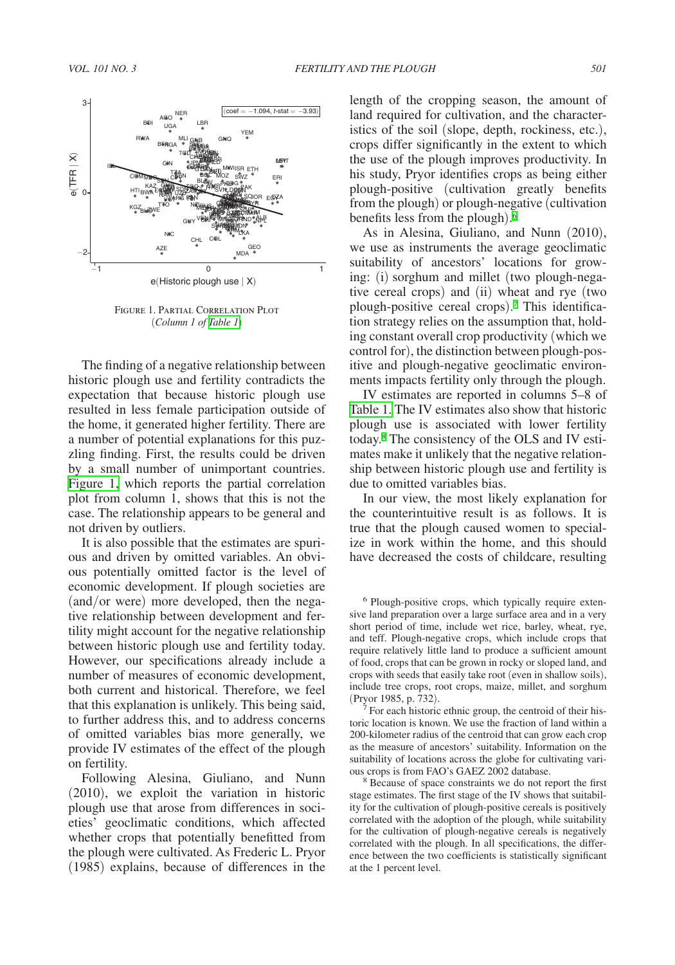

Figure 1. Partial Correlation Plot (*Column 1 of [Table 1](#page-1-0)*)

The finding of a negative relationship between historic plough use and fertility contradicts the expectation that because historic plough use resulted in less female participation outside of the home, it generated higher fertility. There are a number of potential explanations for this puzzling finding. First, the results could be driven by a small number of unimportant countries. Figure 1, which reports the partial correlation plot from column 1, shows that this is not the case. The relationship appears to be general and not driven by outliers.

It is also possible that the estimates are spurious and driven by omitted variables. An obvious potentially omitted factor is the level of economic development. If plough societies are (and/or were) more developed, then the negative relationship between development and fertility might account for the negative relationship between historic plough use and fertility today. However, our specifications already include a number of measures of economic development, both current and historical. Therefore, we feel that this explanation is unlikely. This being said, to further address this, and to address concerns of omitted variables bias more generally, we provide IV estimates of the effect of the plough on fertility.

Following Alesina, Giuliano, and Nunn (2010), we exploit the variation in historic plough use that arose from differences in societies' geoclimatic conditions, which affected whether crops that potentially benefitted from the plough were cultivated. As Frederic L. Pryor (1985) explains, because of differences in the length of the cropping season, the amount of land required for cultivation, and the characteristics of the soil (slope, depth, rockiness, etc.), crops differ significantly in the extent to which the use of the plough improves productivity. In his study, Pryor identifies crops as being either plough-positive (cultivation greatly benefits from the plough) or plough-negative (cultivation benefits less from the plough). 6

As in Alesina, Giuliano, and Nunn (2010), we use as instruments the average geoclimatic suitability of ancestors' locations for growing: (i) sorghum and millet (two plough-negative cereal crops) and (ii) wheat and rye (two plough-positive cereal crops). 7 This identification strategy relies on the assumption that, holding constant overall crop productivity (which we control for), the distinction between plough-positive and plough-negative geoclimatic environments impacts fertility only through the plough.

IV estimates are reported in columns 5–8 of [Table 1.](#page-1-0) The IV estimates also show that historic plough use is associated with lower fertility today.8 The consistency of the OLS and IV estimates make it unlikely that the negative relationship between historic plough use and fertility is due to omitted variables bias.

In our view, the most likely explanation for the counterintuitive result is as follows. It is true that the plough caused women to specialize in work within the home, and this should have decreased the costs of childcare, resulting

6 Plough-positive crops, which typically require extensive land preparation over a large surface area and in a very short period of time, include wet rice, barley, wheat, rye, and teff. Plough-negative crops, which include crops that require relatively little land to produce a sufficient amount of food, crops that can be grown in rocky or sloped land, and crops with seeds that easily take root (even in shallow soils), include tree crops, root crops, maize, millet, and sorghum (Pryor 1985, p. 732).  $\frac{7}{7}$  For each historic ethnic group, the centroid of their his-

toric location is known. We use the fraction of land within a 200-kilometer radius of the centroid that can grow each crop as the measure of ancestors' suitability. Information on the suitability of locations across the globe for cultivating various crops is from FAO's GAEZ 2002 database. 8 Because of space constraints we do not report the first

stage estimates. The first stage of the IV shows that suitability for the cultivation of plough-positive cereals is positively correlated with the adoption of the plough, while suitability for the cultivation of plough-negative cereals is negatively correlated with the plough. In all specifications, the difference between the two coefficients is statistically significant at the 1 percent level.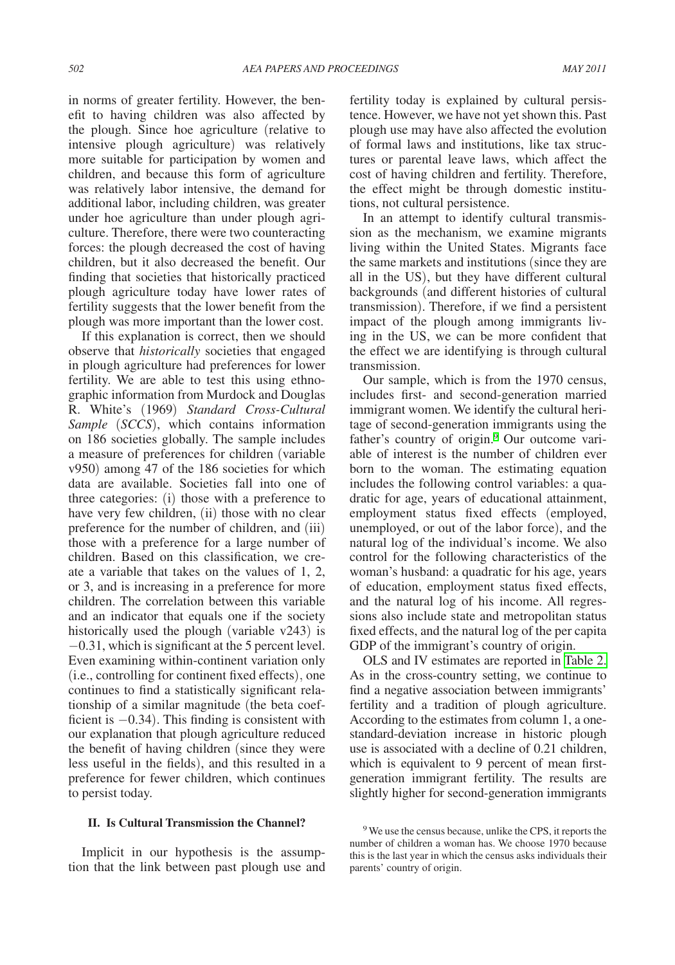in norms of greater fertility. However, the benefit to having children was also affected by the plough. Since hoe agriculture (relative to intensive plough agriculture) was relatively more suitable for participation by women and children, and because this form of agriculture was relatively labor intensive, the demand for additional labor, including children, was greater under hoe agriculture than under plough agriculture. Therefore, there were two counteracting forces: the plough decreased the cost of having children, but it also decreased the benefit. Our finding that societies that historically practiced plough agriculture today have lower rates of fertility suggests that the lower benefit from the plough was more important than the lower cost.

If this explanation is correct, then we should observe that *historically* societies that engaged in plough agriculture had preferences for lower fertility. We are able to test this using ethnographic information from Murdock and Douglas R. White's (1969) *Standard Cross-Cultural Sample* (*SCCS*), which contains information on 186 societies globally. The sample includes a measure of preferences for children (variable v950) among 47 of the 186 societies for which data are available. Societies fall into one of three categories: (i) those with a preference to have very few children, (ii) those with no clear preference for the number of children, and (iii) those with a preference for a large number of children. Based on this classification, we create a variable that takes on the values of 1, 2, or 3, and is increasing in a preference for more children. The correlation between this variable and an indicator that equals one if the society historically used the plough (variable v243) is −0.31, which is significant at the 5 percent level. Even examining within-continent variation only (i.e., controlling for continent fixed effects), one continues to find a statistically significant relationship of a similar magnitude (the beta coefficient is  $-0.34$ ). This finding is consistent with our explanation that plough agriculture reduced the benefit of having children (since they were less useful in the fields), and this resulted in a preference for fewer children, which continues to persist today.

**II. Is Cultural Transmission the Channel?**

Implicit in our hypothesis is the assumption that the link between past plough use and

fertility today is explained by cultural persistence. However, we have not yet shown this. Past plough use may have also affected the evolution of formal laws and institutions, like tax structures or parental leave laws, which affect the cost of having children and fertility. Therefore, the effect might be through domestic institutions, not cultural persistence.

In an attempt to identify cultural transmission as the mechanism, we examine migrants living within the United States. Migrants face the same markets and institutions (since they are all in the US), but they have different cultural backgrounds (and different histories of cultural transmission). Therefore, if we find a persistent impact of the plough among immigrants living in the US, we can be more confident that the effect we are identifying is through cultural transmission.

Our sample, which is from the 1970 census, includes first- and second-generation married immigrant women. We identify the cultural heritage of second-generation immigrants using the father's country of origin.<sup>9</sup> Our outcome variable of interest is the number of children ever born to the woman. The estimating equation includes the following control variables: a quadratic for age, years of educational attainment, employment status fixed effects (employed, unemployed, or out of the labor force), and the natural log of the individual's income. We also control for the following characteristics of the woman's husband: a quadratic for his age, years of education, employment status fixed effects, and the natural log of his income. All regressions also include state and metropolitan status fixed effects, and the natural log of the per capita GDP of the immigrant's country of origin.

OLS and IV estimates are reported in [Table 2.](#page-4-0) As in the cross-country setting, we continue to find a negative association between immigrants' fertility and a tradition of plough agriculture. According to the estimates from column 1, a onestandard-deviation increase in historic plough use is associated with a decline of 0.21 children, which is equivalent to 9 percent of mean firstgeneration immigrant fertility. The results are slightly higher for second-generation immigrants

<sup>9</sup> We use the census because, unlike the CPS, it reports the number of children a woman has. We choose 1970 because this is the last year in which the census asks individuals their parents' country of origin.